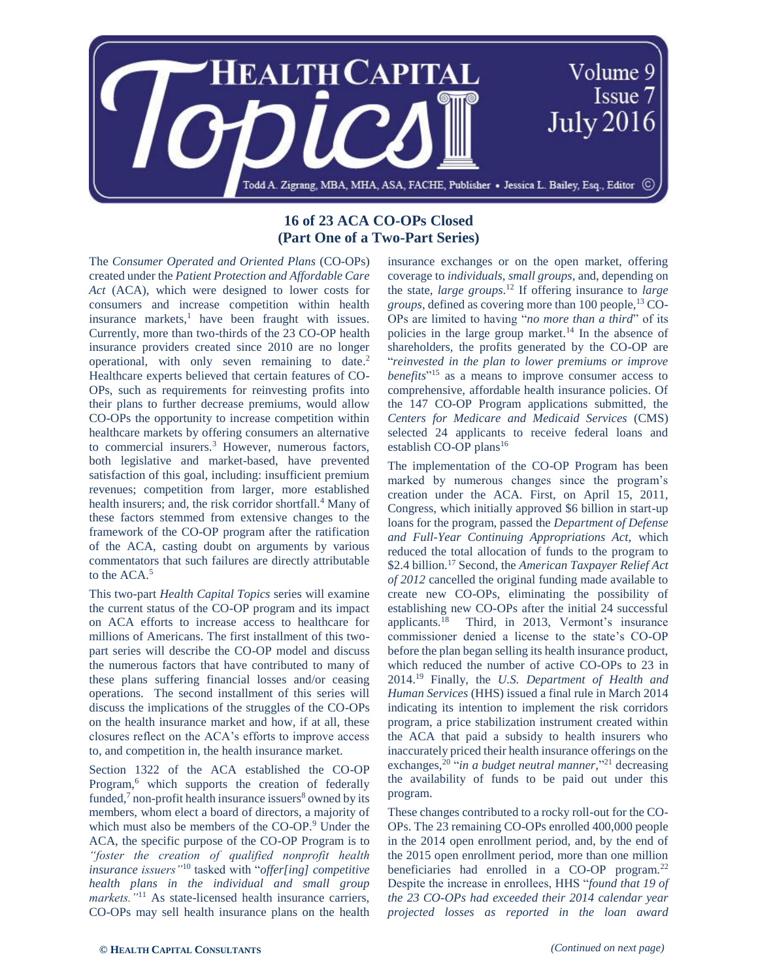

## **16 of 23 ACA CO-OPs Closed (Part One of a Two-Part Series)**

The *Consumer Operated and Oriented Plans* (CO-OPs) created under the *Patient Protection and Affordable Care Act* (ACA), which were designed to lower costs for consumers and increase competition within health insurance markets, $\frac{1}{1}$  have been fraught with issues. Currently, more than two-thirds of the 23 CO-OP health insurance providers created since 2010 are no longer operational, with only seven remaining to date. 2 Healthcare experts believed that certain features of CO-OPs, such as requirements for reinvesting profits into their plans to further decrease premiums, would allow CO-OPs the opportunity to increase competition within healthcare markets by offering consumers an alternative to commercial insurers.<sup>3</sup> However, numerous factors, both legislative and market-based, have prevented satisfaction of this goal, including: insufficient premium revenues; competition from larger, more established health insurers; and, the risk corridor shortfall.<sup>4</sup> Many of these factors stemmed from extensive changes to the framework of the CO-OP program after the ratification of the ACA, casting doubt on arguments by various commentators that such failures are directly attributable to the ACA.<sup>5</sup>

This two-part *Health Capital Topics* series will examine the current status of the CO-OP program and its impact on ACA efforts to increase access to healthcare for millions of Americans. The first installment of this twopart series will describe the CO-OP model and discuss the numerous factors that have contributed to many of these plans suffering financial losses and/or ceasing operations. The second installment of this series will discuss the implications of the struggles of the CO-OPs on the health insurance market and how, if at all, these closures reflect on the ACA's efforts to improve access to, and competition in, the health insurance market.

Section 1322 of the ACA established the CO-OP Program,<sup>6</sup> which supports the creation of federally funded, $\frac{7}{1}$  non-profit health insurance issuers<sup>8</sup> owned by its members, whom elect a board of directors, a majority of which must also be members of the CO-OP.<sup>9</sup> Under the ACA, the specific purpose of the CO-OP Program is to *"foster the creation of qualified nonprofit health insurance issuers"*<sup>10</sup> tasked with "*offer[ing] competitive health plans in the individual and small group*  markets.<sup>"11</sup> As state-licensed health insurance carriers, CO-OPs may sell health insurance plans on the health insurance exchanges or on the open market, offering coverage to *individuals*, *small groups*, and, depending on the state, *large groups*. <sup>12</sup> If offering insurance to *large groups*, defined as covering more than 100 people,<sup>13</sup> CO-OPs are limited to having "*no more than a third*" of its policies in the large group market. <sup>14</sup> In the absence of shareholders, the profits generated by the CO-OP are "*reinvested in the plan to lower premiums or improve benefits*" <sup>15</sup> as a means to improve consumer access to comprehensive, affordable health insurance policies. Of the 147 CO-OP Program applications submitted, the *Centers for Medicare and Medicaid Services* (CMS) selected 24 applicants to receive federal loans and establish CO-OP plans<sup>16</sup>

The implementation of the CO-OP Program has been marked by numerous changes since the program's creation under the ACA. First, on April 15, 2011, Congress, which initially approved \$6 billion in start-up loans for the program, passed the *Department of Defense and Full-Year Continuing Appropriations Act,* which reduced the total allocation of funds to the program to \$2.4 billion.<sup>17</sup> Second, the *American Taxpayer Relief Act of 2012* cancelled the original funding made available to create new CO-OPs, eliminating the possibility of establishing new CO-OPs after the initial 24 successful applicants.<sup>18</sup> Third, in 2013, Vermont's insurance commissioner denied a license to the state's CO-OP before the plan began selling its health insurance product, which reduced the number of active CO-OPs to 23 in 2014.<sup>19</sup> Finally, the *U.S. Department of Health and Human Services* (HHS) issued a final rule in March 2014 indicating its intention to implement the risk corridors program, a price stabilization instrument created within the ACA that paid a subsidy to health insurers who inaccurately priced their health insurance offerings on the exchanges,<sup>20</sup> "*in a budget neutral manner*,"<sup>21</sup> decreasing the availability of funds to be paid out under this program.

These changes contributed to a rocky roll-out for the CO-OPs. The 23 remaining CO-OPs enrolled 400,000 people in the 2014 open enrollment period, and, by the end of the 2015 open enrollment period, more than one million beneficiaries had enrolled in a CO-OP program.<sup>22</sup> Despite the increase in enrollees, HHS "*found that 19 of the 23 CO-OPs had exceeded their 2014 calendar year projected losses as reported in the loan award*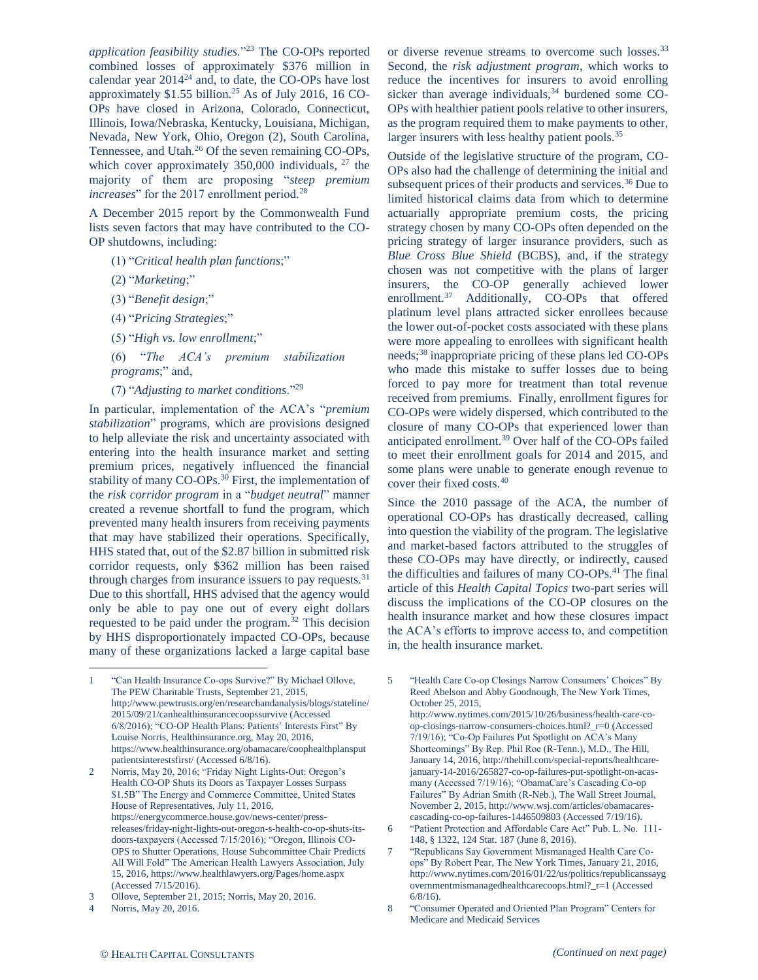*application feasibility studies.*" <sup>23</sup> The CO-OPs reported combined losses of approximately \$376 million in calendar year 2014<sup>24</sup> and, to date, the CO-OPs have lost approximately  $$1.55$  billion.<sup>25</sup> As of July 2016, 16 CO-OPs have closed in Arizona, Colorado, Connecticut, Illinois, Iowa/Nebraska, Kentucky, Louisiana, Michigan, Nevada, New York, Ohio, Oregon (2), South Carolina, Tennessee, and Utah.<sup>26</sup> Of the seven remaining CO-OPs, which cover approximately  $350,000$  individuals,  $27$  the majority of them are proposing "*steep premium increases*" for the 2017 enrollment period.<sup>28</sup>

A December 2015 report by the Commonwealth Fund lists seven factors that may have contributed to the CO-OP shutdowns, including:

- (1) "*Critical health plan functions*;"
- (2) "*Marketing*;"
- (3) "*Benefit design*;"
- (4) "*Pricing Strategies*;"
- (5) "*High vs. low enrollment*;"
- (6) "*The ACA's premium stabilization programs*;" and,
- (7) "*Adjusting to market conditions*."<sup>29</sup>

In particular, implementation of the ACA's "*premium stabilization*" programs, which are provisions designed to help alleviate the risk and uncertainty associated with entering into the health insurance market and setting premium prices, negatively influenced the financial stability of many CO-OPs.<sup>30</sup> First, the implementation of the *risk corridor program* in a "*budget neutral*" manner created a revenue shortfall to fund the program, which prevented many health insurers from receiving payments that may have stabilized their operations. Specifically, HHS stated that, out of the \$2.87 billion in submitted risk corridor requests, only \$362 million has been raised through charges from insurance issuers to pay requests.<sup>31</sup> Due to this shortfall, HHS advised that the agency would only be able to pay one out of every eight dollars requested to be paid under the program.<sup>32</sup> This decision by HHS disproportionately impacted CO-OPs, because many of these organizations lacked a large capital base

 $\overline{\phantom{a}}$ 

or diverse revenue streams to overcome such losses.<sup>33</sup> Second, the *risk adjustment program*, which works to reduce the incentives for insurers to avoid enrolling sicker than average individuals, $34$  burdened some CO-OPs with healthier patient pools relative to other insurers, as the program required them to make payments to other, larger insurers with less healthy patient pools.<sup>35</sup>

Outside of the legislative structure of the program, CO-OPs also had the challenge of determining the initial and subsequent prices of their products and services.<sup>36</sup> Due to limited historical claims data from which to determine actuarially appropriate premium costs, the pricing strategy chosen by many CO-OPs often depended on the pricing strategy of larger insurance providers, such as *Blue Cross Blue Shield* (BCBS), and, if the strategy chosen was not competitive with the plans of larger insurers, the CO-OP generally achieved lower enrollment.<sup>37</sup> Additionally, CO-OPs that offered platinum level plans attracted sicker enrollees because the lower out-of-pocket costs associated with these plans were more appealing to enrollees with significant health needs;<sup>38</sup> inappropriate pricing of these plans led CO-OPs who made this mistake to suffer losses due to being forced to pay more for treatment than total revenue received from premiums. Finally, enrollment figures for CO-OPs were widely dispersed, which contributed to the closure of many CO-OPs that experienced lower than anticipated enrollment.<sup>39</sup> Over half of the CO-OPs failed to meet their enrollment goals for 2014 and 2015, and some plans were unable to generate enough revenue to cover their fixed costs.<sup>40</sup>

Since the 2010 passage of the ACA, the number of operational CO-OPs has drastically decreased, calling into question the viability of the program. The legislative and market-based factors attributed to the struggles of these CO-OPs may have directly, or indirectly, caused the difficulties and failures of many CO-OPs.<sup>41</sup> The final article of this *Health Capital Topics* two-part series will discuss the implications of the CO-OP closures on the health insurance market and how these closures impact the ACA's efforts to improve access to, and competition in, the health insurance market.

http://www.nytimes.com/2015/10/26/business/health-care-coop-closings-narrow-consumers-choices.html?\_r=0 (Accessed 7/19/16); "Co-Op Failures Put Spotlight on ACA's Many Shortcomings" By Rep. Phil Roe (R-Tenn.), M.D., The Hill, January 14, 2016, http://thehill.com/special-reports/healthcarejanuary-14-2016/265827-co-op-failures-put-spotlight-on-acasmany (Accessed 7/19/16); "ObamaCare's Cascading Co-op Failures" By Adrian Smith (R-Neb.), The Wall Street Journal, November 2, 2015, http://www.wsj.com/articles/obamacarescascading-co-op-failures-1446509803 (Accessed 7/19/16).

- 6 "Patient Protection and Affordable Care Act" Pub. L. No. 111- 148, § 1322, 124 Stat. 187 (June 8, 2016).
- 7 "Republicans Say Government Mismanaged Health Care Coops" By Robert Pear, The New York Times, January 21, 2016, http://www.nytimes.com/2016/01/22/us/politics/republicanssayg overnmentmismanagedhealthcarecoops.html?\_r=1 (Accessed 6/8/16).
- 8 "Consumer Operated and Oriented Plan Program" Centers for Medicare and Medicaid Services

<sup>1</sup> "Can Health Insurance Co-ops Survive?" By Michael Ollove, The PEW Charitable Trusts, September 21, 2015, http://www.pewtrusts.org/en/researchandanalysis/blogs/stateline/ 2015/09/21/canhealthinsurancecoopssurvive (Accessed 6/8/2016); "CO-OP Health Plans: Patients' Interests First" By Louise Norris, Healthinsurance.org, May 20, 2016, https://www.healthinsurance.org/obamacare/coophealthplansput patientsinterestsfirst/ (Accessed 6/8/16).

<sup>2</sup> Norris, May 20, 2016; "Friday Night Lights-Out: Oregon's Health CO-OP Shuts its Doors as Taxpayer Losses Surpass \$1.5B" The Energy and Commerce Committee, United States House of Representatives, July 11, 2016, https://energycommerce.house.gov/news-center/pressreleases/friday-night-lights-out-oregon-s-health-co-op-shuts-itsdoors-taxpayers (Accessed 7/15/2016); "Oregon, Illinois CO-OPS to Shutter Operations, House Subcommittee Chair Predicts All Will Fold" The American Health Lawyers Association, July 15, 2016, https://www.healthlawyers.org/Pages/home.aspx (Accessed 7/15/2016).

<sup>3</sup> Ollove, September 21, 2015; Norris, May 20, 2016.

<sup>4</sup> Norris, May 20, 2016.

<sup>5</sup> "Health Care Co-op Closings Narrow Consumers' Choices" By Reed Abelson and Abby Goodnough, The New York Times, October 25, 2015,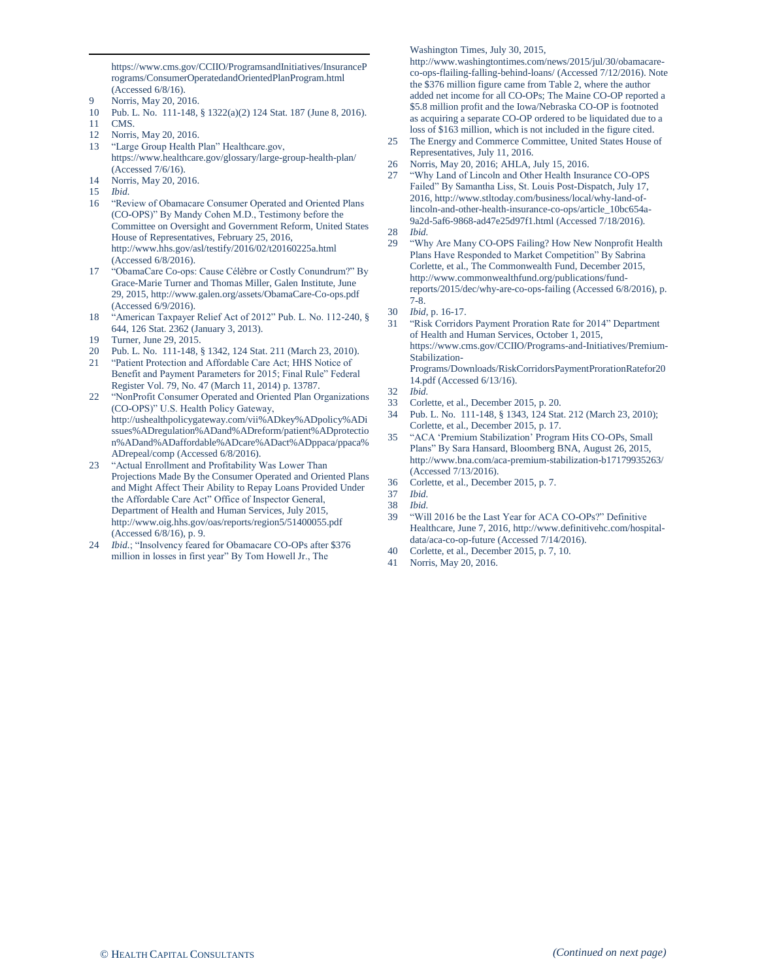https://www.cms.gov/CCIIO/ProgramsandInitiatives/InsuranceP rograms/ConsumerOperatedandOrientedPlanProgram.html (Accessed 6/8/16).

- 9 Norris, May 20, 2016.
- 10 Pub. L. No. 111-148, § 1322(a)(2) 124 Stat. 187 (June 8, 2016).
- 11 CMS.

 $\overline{\phantom{a}}$ 

- 12 Norris, May 20, 2016.
- 13 "Large Group Health Plan" Healthcare.gov, https://www.healthcare.gov/glossary/large-group-health-plan/ (Accessed 7/6/16). 14 Norris, May 20, 2016.
- 
- 15 *Ibid.*
- 16 "Review of Obamacare Consumer Operated and Oriented Plans (CO-OPS)" By Mandy Cohen M.D., Testimony before the Committee on Oversight and Government Reform, United States House of Representatives, February 25, 2016, http://www.hhs.gov/asl/testify/2016/02/t20160225a.html (Accessed 6/8/2016).
- 17 "ObamaCare Co-ops: Cause Célèbre or Costly Conundrum?" By Grace-Marie Turner and Thomas Miller, Galen Institute, June 29, 2015, http://www.galen.org/assets/ObamaCare-Co-ops.pdf (Accessed 6/9/2016).
- 18 "American Taxpayer Relief Act of 2012" Pub. L. No. 112-240, § 644, 126 Stat. 2362 (January 3, 2013).
- 19 Turner, June 29, 2015.
- 20 Pub. L. No. 111-148, § 1342, 124 Stat. 211 (March 23, 2010).
- 21 "Patient Protection and Affordable Care Act; HHS Notice of Benefit and Payment Parameters for 2015; Final Rule" Federal Register Vol. 79, No. 47 (March 11, 2014) p. 13787.
- 22 "NonProfit Consumer Operated and Oriented Plan Organizations (CO-OPS)" U.S. Health Policy Gateway, http://ushealthpolicygateway.com/vii%ADkey%ADpolicy%ADi ssues%ADregulation%ADand%ADreform/patient%ADprotectio n%ADand%ADaffordable%ADcare%ADact%ADppaca/ppaca% ADrepeal/comp (Accessed 6/8/2016).
- 23 "Actual Enrollment and Profitability Was Lower Than Projections Made By the Consumer Operated and Oriented Plans and Might Affect Their Ability to Repay Loans Provided Under the Affordable Care Act" Office of Inspector General, Department of Health and Human Services, July 2015, http://www.oig.hhs.gov/oas/reports/region5/51400055.pdf (Accessed 6/8/16), p. 9.
- *Ibid.*; "Insolvency feared for Obamacare CO-OPs after \$376 million in losses in first year" By Tom Howell Jr., The

Washington Times, July 30, 2015,

http://www.washingtontimes.com/news/2015/jul/30/obamacareco-ops-flailing-falling-behind-loans/ (Accessed 7/12/2016). Note the \$376 million figure came from Table 2, where the author added net income for all CO-OPs; The Maine CO-OP reported a \$5.8 million profit and the Iowa/Nebraska CO-OP is footnoted as acquiring a separate CO-OP ordered to be liquidated due to a loss of \$163 million, which is not included in the figure cited.

- 25 The Energy and Commerce Committee, United States House of Representatives, July 11, 2016.
- 26 Norris, May 20, 2016; AHLA, July 15, 2016.
- 27 "Why Land of Lincoln and Other Health Insurance CO-OPS Failed" By Samantha Liss, St. Louis Post-Dispatch, July 17, 2016, http://www.stltoday.com/business/local/why-land-oflincoln-and-other-health-insurance-co-ops/article\_10bc654a-9a2d-5af6-9868-ad47e25d97f1.html (Accessed 7/18/2016).
- 28 *Ibid.*
- 29 "Why Are Many CO-OPS Failing? How New Nonprofit Health Plans Have Responded to Market Competition" By Sabrina Corlette, et al., The Commonwealth Fund, December 2015, http://www.commonwealthfund.org/publications/fundreports/2015/dec/why-are-co-ops-failing (Accessed 6/8/2016), p. 7-8.
- 30 *Ibid*, p. 16-17.
- 31 "Risk Corridors Payment Proration Rate for 2014" Department of Health and Human Services, October 1, 2015, https://www.cms.gov/CCIIO/Programs-and-Initiatives/Premium-Stabilization-Programs/Downloads/RiskCorridorsPaymentProrationRatefor20 14.pdf (Accessed 6/13/16).
- 32 *Ibid.*
- 33 Corlette, et al., December 2015, p. 20.
- 34 Pub. L. No. 111-148, § 1343, 124 Stat. 212 (March 23, 2010); Corlette, et al., December 2015, p. 17.
- 35 "ACA 'Premium Stabilization' Program Hits CO-OPs, Small Plans" By Sara Hansard, Bloomberg BNA, August 26, 2015, http://www.bna.com/aca-premium-stabilization-b17179935263/ (Accessed 7/13/2016).
- 36 Corlette, et al., December 2015, p. 7.
- 37 *Ibid.*
- 38 *Ibid.*
- 39 "Will 2016 be the Last Year for ACA CO-OPs?" Definitive Healthcare, June 7, 2016, http://www.definitivehc.com/hospitaldata/aca-co-op-future (Accessed 7/14/2016).
- 40 Corlette, et al., December 2015, p. 7, 10.
- 41 Norris, May 20, 2016.